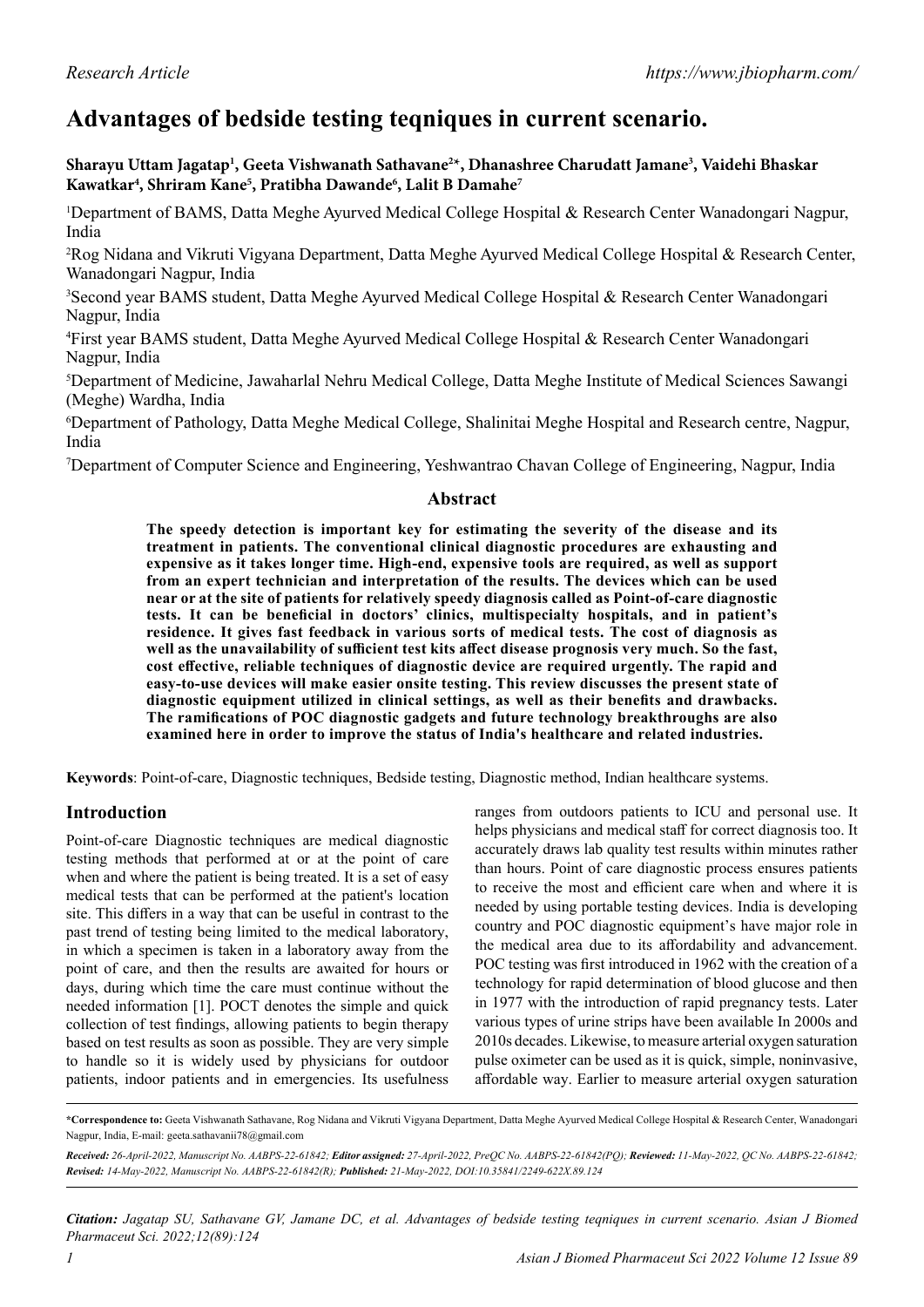# **Advantages of bedside testing teqniques in current scenario.**

**Sharayu Uttam Jagatap1 , Geeta Vishwanath Sathavane2 \*, Dhanashree Charudatt Jamane3 , Vaidehi Bhaskar Kawatkar4 , Shriram Kane5 , Pratibha Dawande6 , Lalit B Damahe7**

<sup>1</sup>Department of BAMS, Datta Meghe Ayurved Medical College Hospital & Research Center Wanadongari Nagpur, India

2 Rog Nidana and Vikruti Vigyana Department, Datta Meghe Ayurved Medical College Hospital & Research Center, Wanadongari Nagpur, India

3 Second year BAMS student, Datta Meghe Ayurved Medical College Hospital & Research Center Wanadongari Nagpur, India

4 First year BAMS student, Datta Meghe Ayurved Medical College Hospital & Research Center Wanadongari Nagpur, India

5 Department of Medicine, Jawaharlal Nehru Medical College, Datta Meghe Institute of Medical Sciences Sawangi (Meghe) Wardha, India

6 Department of Pathology, Datta Meghe Medical College, Shalinitai Meghe Hospital and Research centre, Nagpur, India

7 Department of Computer Science and Engineering, Yeshwantrao Chavan College of Engineering, Nagpur, India

#### **Abstract**

**The speedy detection is important key for estimating the severity of the disease and its treatment in patients. The conventional clinical diagnostic procedures are exhausting and expensive as it takes longer time. High-end, expensive tools are required, as well as support from an expert technician and interpretation of the results. The devices which can be used near or at the site of patients for relatively speedy diagnosis called as Point-of-care diagnostic tests. It can be beneficial in doctors' clinics, multispecialty hospitals, and in patient's residence. It gives fast feedback in various sorts of medical tests. The cost of diagnosis as well as the unavailability of sufficient test kits affect disease prognosis very much. So the fast, cost effective, reliable techniques of diagnostic device are required urgently. The rapid and easy-to-use devices will make easier onsite testing. This review discusses the present state of diagnostic equipment utilized in clinical settings, as well as their benefits and drawbacks. The ramifications of POC diagnostic gadgets and future technology breakthroughs are also examined here in order to improve the status of India's healthcare and related industries.**

**Keywords**: Point-of-care, Diagnostic techniques, Bedside testing, Diagnostic method, Indian healthcare systems.

## **Introduction**

Point-of-care Diagnostic techniques are medical diagnostic testing methods that performed at or at the point of care when and where the patient is being treated. It is a set of easy medical tests that can be performed at the patient's location site. This differs in a way that can be useful in contrast to the past trend of testing being limited to the medical laboratory, in which a specimen is taken in a laboratory away from the point of care, and then the results are awaited for hours or days, during which time the care must continue without the needed information [1]. POCT denotes the simple and quick collection of test findings, allowing patients to begin therapy based on test results as soon as possible. They are very simple to handle so it is widely used by physicians for outdoor patients, indoor patients and in emergencies. Its usefulness

ranges from outdoors patients to ICU and personal use. It helps physicians and medical staff for correct diagnosis too. It accurately draws lab quality test results within minutes rather than hours. Point of care diagnostic process ensures patients to receive the most and efficient care when and where it is needed by using portable testing devices. India is developing country and POC diagnostic equipment's have major role in the medical area due to its affordability and advancement. POC testing was first introduced in 1962 with the creation of a technology for rapid determination of blood glucose and then in 1977 with the introduction of rapid pregnancy tests. Later various types of urine strips have been available In 2000s and 2010s decades. Likewise, to measure arterial oxygen saturation pulse oximeter can be used as it is quick, simple, noninvasive, affordable way. Earlier to measure arterial oxygen saturation

**\*Correspondence to:** Geeta Vishwanath Sathavane, Rog Nidana and Vikruti Vigyana Department, Datta Meghe Ayurved Medical College Hospital & Research Center, Wanadongari Nagpur, India, E-mail: geeta.sathavanii78@gmail.com

*Received: 26-April-2022, Manuscript No. AABPS-22-61842; Editor assigned: 27-April-2022, PreQC No. AABPS-22-61842(PQ); Reviewed: 11-May-2022, QC No. AABPS-22-61842; Revised: 14-May-2022, Manuscript No. AABPS-22-61842(R); Published: 21-May-2022, DOI:10.35841/2249-622X.89.124*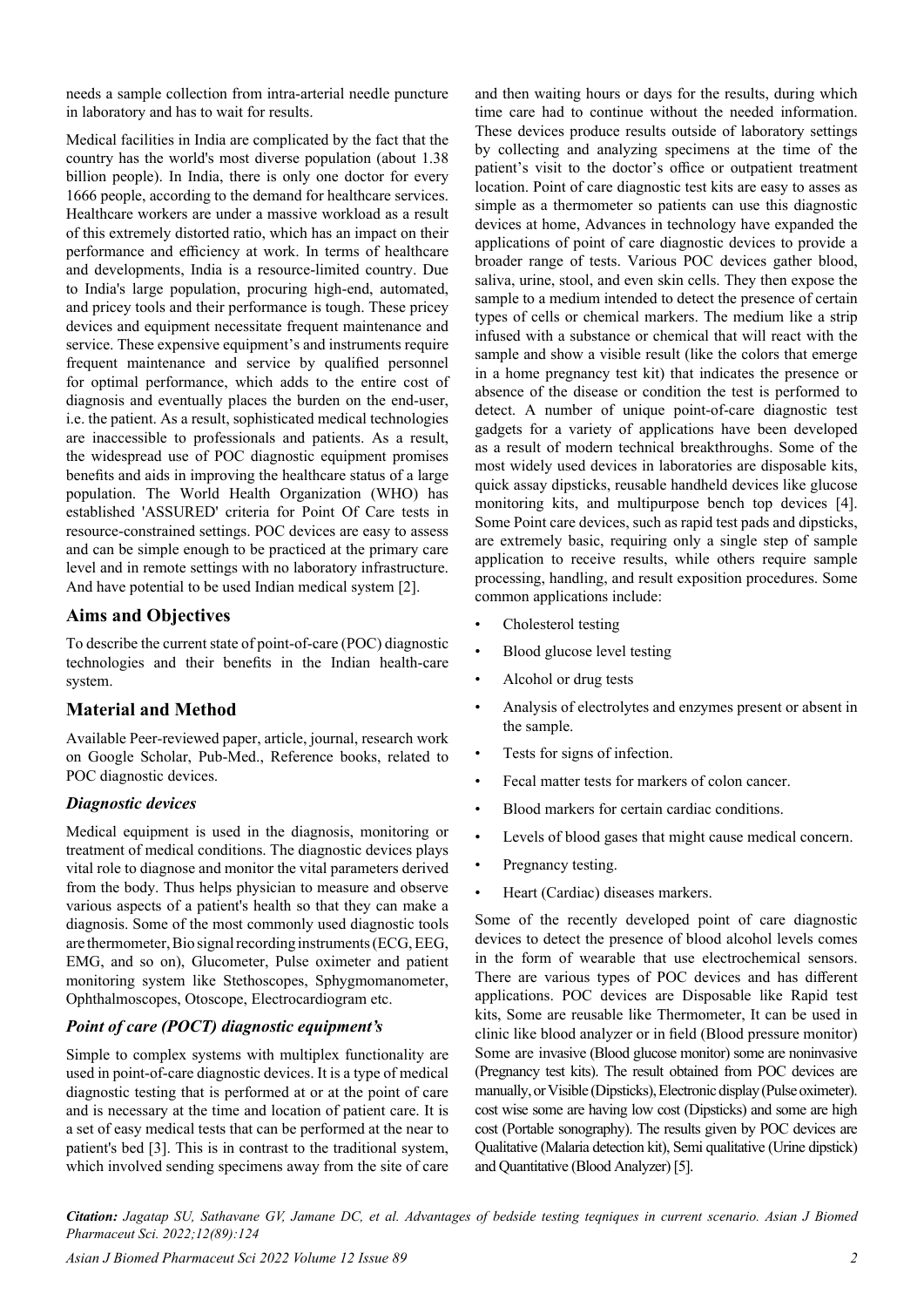needs a sample collection from intra-arterial needle puncture in laboratory and has to wait for results.

Medical facilities in India are complicated by the fact that the country has the world's most diverse population (about 1.38 billion people). In India, there is only one doctor for every 1666 people, according to the demand for healthcare services. Healthcare workers are under a massive workload as a result of this extremely distorted ratio, which has an impact on their performance and efficiency at work. In terms of healthcare and developments, India is a resource-limited country. Due to India's large population, procuring high-end, automated, and pricey tools and their performance is tough. These pricey devices and equipment necessitate frequent maintenance and service. These expensive equipment's and instruments require frequent maintenance and service by qualified personnel for optimal performance, which adds to the entire cost of diagnosis and eventually places the burden on the end-user, i.e. the patient. As a result, sophisticated medical technologies are inaccessible to professionals and patients. As a result, the widespread use of POC diagnostic equipment promises benefits and aids in improving the healthcare status of a large population. The World Health Organization (WHO) has established 'ASSURED' criteria for Point Of Care tests in resource-constrained settings. POC devices are easy to assess and can be simple enough to be practiced at the primary care level and in remote settings with no laboratory infrastructure. And have potential to be used Indian medical system [2].

## **Aims and Objectives**

To describe the current state of point-of-care (POC) diagnostic technologies and their benefits in the Indian health-care system.

## **Material and Method**

Available Peer-reviewed paper, article, journal, research work on Google Scholar, Pub-Med., Reference books, related to POC diagnostic devices.

#### *Diagnostic devices*

Medical equipment is used in the diagnosis, monitoring or treatment of medical conditions. The diagnostic devices plays vital role to diagnose and monitor the vital parameters derived from the body. Thus helps physician to measure and observe various aspects of a patient's health so that they can make a diagnosis. Some of the most commonly used diagnostic tools are thermometer, Bio signal recording instruments (ECG, EEG, EMG, and so on), Glucometer, Pulse oximeter and patient monitoring system like Stethoscopes, Sphygmomanometer, Ophthalmoscopes, Otoscope, Electrocardiogram etc.

#### *Point of care (POCT) diagnostic equipment's*

Simple to complex systems with multiplex functionality are used in point-of-care diagnostic devices. It is a type of medical diagnostic testing that is performed at or at the point of care and is necessary at the time and location of patient care. It is a set of easy medical tests that can be performed at the near to patient's bed [3]. This is in contrast to the traditional system, which involved sending specimens away from the site of care and then waiting hours or days for the results, during which time care had to continue without the needed information. These devices produce results outside of laboratory settings by collecting and analyzing specimens at the time of the patient's visit to the doctor's office or outpatient treatment location. Point of care diagnostic test kits are easy to asses as simple as a thermometer so patients can use this diagnostic devices at home, Advances in technology have expanded the applications of point of care diagnostic devices to provide a broader range of tests. Various POC devices gather blood, saliva, urine, stool, and even skin cells. They then expose the sample to a medium intended to detect the presence of certain types of cells or chemical markers. The medium like a strip infused with a substance or chemical that will react with the sample and show a visible result (like the colors that emerge in a home pregnancy test kit) that indicates the presence or absence of the disease or condition the test is performed to detect. A number of unique point-of-care diagnostic test gadgets for a variety of applications have been developed as a result of modern technical breakthroughs. Some of the most widely used devices in laboratories are disposable kits, quick assay dipsticks, reusable handheld devices like glucose monitoring kits, and multipurpose bench top devices [4]. Some Point care devices, such as rapid test pads and dipsticks, are extremely basic, requiring only a single step of sample application to receive results, while others require sample processing, handling, and result exposition procedures. Some common applications include:

- Cholesterol testing
- Blood glucose level testing
- Alcohol or drug tests
- Analysis of electrolytes and enzymes present or absent in the sample.
- Tests for signs of infection.
- Fecal matter tests for markers of colon cancer.
- Blood markers for certain cardiac conditions.
- Levels of blood gases that might cause medical concern.
- Pregnancy testing.
- Heart (Cardiac) diseases markers.

Some of the recently developed point of care diagnostic devices to detect the presence of blood alcohol levels comes in the form of wearable that use electrochemical sensors. There are various types of POC devices and has different applications. POC devices are Disposable like Rapid test kits, Some are reusable like Thermometer, It can be used in clinic like blood analyzer or in field (Blood pressure monitor) Some are invasive (Blood glucose monitor) some are noninvasive (Pregnancy test kits). The result obtained from POC devices are manually, or Visible (Dipsticks), Electronic display (Pulse oximeter). cost wise some are having low cost (Dipsticks) and some are high cost (Portable sonography). The results given by POC devices are Qualitative (Malaria detection kit), Semi qualitative (Urine dipstick) and Quantitative (Blood Analyzer) [5].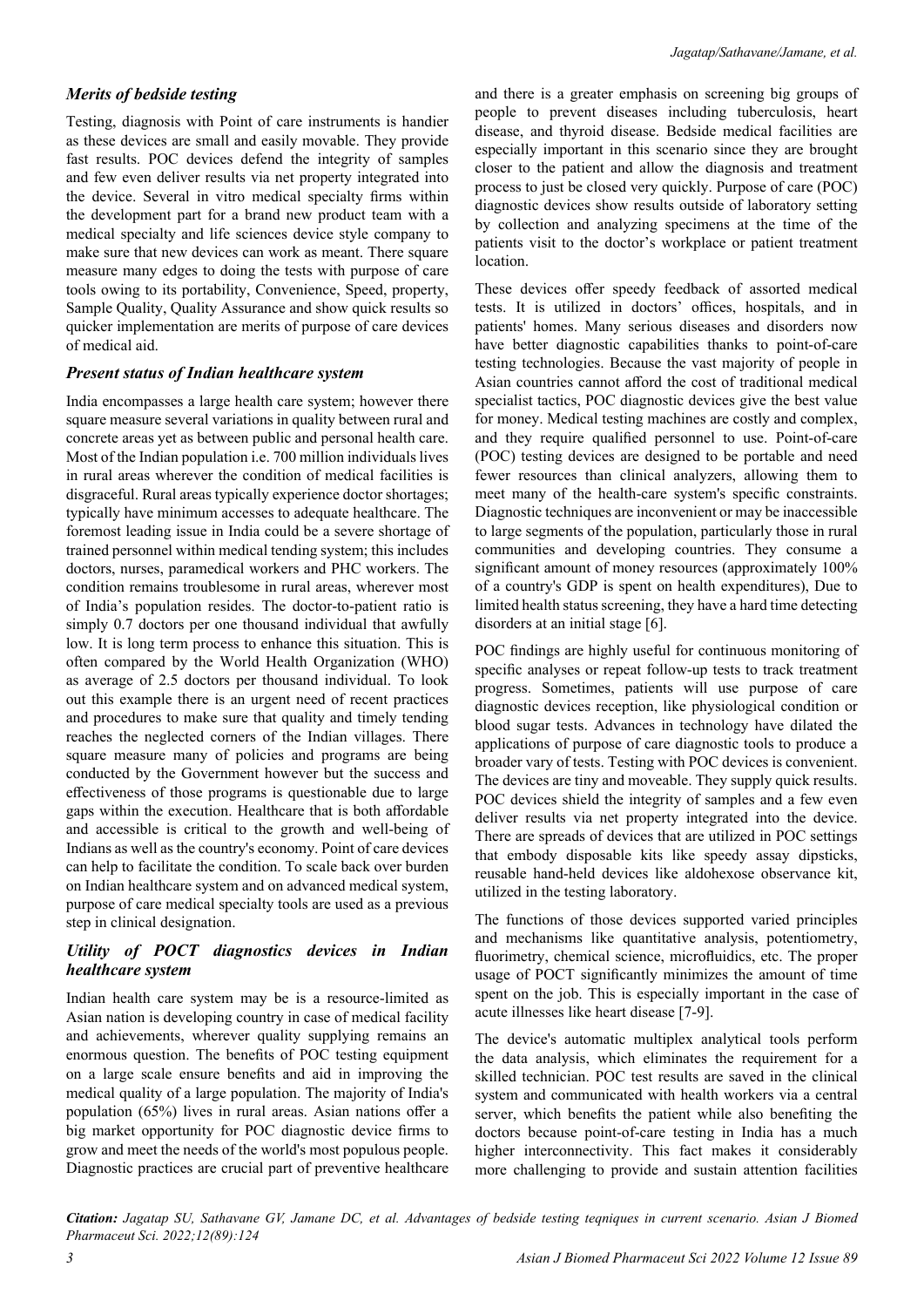#### *Merits of bedside testing*

Testing, diagnosis with Point of care instruments is handier as these devices are small and easily movable. They provide fast results. POC devices defend the integrity of samples and few even deliver results via net property integrated into the device. Several in vitro medical specialty firms within the development part for a brand new product team with a medical specialty and life sciences device style company to make sure that new devices can work as meant. There square measure many edges to doing the tests with purpose of care tools owing to its portability, Convenience, Speed, property, Sample Quality, Quality Assurance and show quick results so quicker implementation are merits of purpose of care devices of medical aid.

#### *Present status of Indian healthcare system*

India encompasses a large health care system; however there square measure several variations in quality between rural and concrete areas yet as between public and personal health care. Most of the Indian population i.e. 700 million individuals lives in rural areas wherever the condition of medical facilities is disgraceful. Rural areas typically experience doctor shortages; typically have minimum accesses to adequate healthcare. The foremost leading issue in India could be a severe shortage of trained personnel within medical tending system; this includes doctors, nurses, paramedical workers and PHC workers. The condition remains troublesome in rural areas, wherever most of India's population resides. The doctor-to-patient ratio is simply 0.7 doctors per one thousand individual that awfully low. It is long term process to enhance this situation. This is often compared by the World Health Organization (WHO) as average of 2.5 doctors per thousand individual. To look out this example there is an urgent need of recent practices and procedures to make sure that quality and timely tending reaches the neglected corners of the Indian villages. There square measure many of policies and programs are being conducted by the Government however but the success and effectiveness of those programs is questionable due to large gaps within the execution. Healthcare that is both affordable and accessible is critical to the growth and well-being of Indians as well as the country's economy. Point of care devices can help to facilitate the condition. To scale back over burden on Indian healthcare system and on advanced medical system, purpose of care medical specialty tools are used as a previous step in clinical designation.

#### *Utility of POCT diagnostics devices in Indian healthcare system*

Indian health care system may be is a resource-limited as Asian nation is developing country in case of medical facility and achievements, wherever quality supplying remains an enormous question. The benefits of POC testing equipment on a large scale ensure benefits and aid in improving the medical quality of a large population. The majority of India's population (65%) lives in rural areas. Asian nations offer a big market opportunity for POC diagnostic device firms to grow and meet the needs of the world's most populous people. Diagnostic practices are crucial part of preventive healthcare

and there is a greater emphasis on screening big groups of people to prevent diseases including tuberculosis, heart disease, and thyroid disease. Bedside medical facilities are especially important in this scenario since they are brought closer to the patient and allow the diagnosis and treatment process to just be closed very quickly. Purpose of care (POC) diagnostic devices show results outside of laboratory setting by collection and analyzing specimens at the time of the patients visit to the doctor's workplace or patient treatment location.

These devices offer speedy feedback of assorted medical tests. It is utilized in doctors' offices, hospitals, and in patients' homes. Many serious diseases and disorders now have better diagnostic capabilities thanks to point-of-care testing technologies. Because the vast majority of people in Asian countries cannot afford the cost of traditional medical specialist tactics, POC diagnostic devices give the best value for money. Medical testing machines are costly and complex, and they require qualified personnel to use. Point-of-care (POC) testing devices are designed to be portable and need fewer resources than clinical analyzers, allowing them to meet many of the health-care system's specific constraints. Diagnostic techniques are inconvenient or may be inaccessible to large segments of the population, particularly those in rural communities and developing countries. They consume a significant amount of money resources (approximately 100% of a country's GDP is spent on health expenditures), Due to limited health status screening, they have a hard time detecting disorders at an initial stage [6].

POC findings are highly useful for continuous monitoring of specific analyses or repeat follow-up tests to track treatment progress. Sometimes, patients will use purpose of care diagnostic devices reception, like physiological condition or blood sugar tests. Advances in technology have dilated the applications of purpose of care diagnostic tools to produce a broader vary of tests. Testing with POC devices is convenient. The devices are tiny and moveable. They supply quick results. POC devices shield the integrity of samples and a few even deliver results via net property integrated into the device. There are spreads of devices that are utilized in POC settings that embody disposable kits like speedy assay dipsticks, reusable hand-held devices like aldohexose observance kit, utilized in the testing laboratory.

The functions of those devices supported varied principles and mechanisms like quantitative analysis, potentiometry, fluorimetry, chemical science, microfluidics, etc. The proper usage of POCT significantly minimizes the amount of time spent on the job. This is especially important in the case of acute illnesses like heart disease [7-9].

The device's automatic multiplex analytical tools perform the data analysis, which eliminates the requirement for a skilled technician. POC test results are saved in the clinical system and communicated with health workers via a central server, which benefits the patient while also benefiting the doctors because point-of-care testing in India has a much higher interconnectivity. This fact makes it considerably more challenging to provide and sustain attention facilities